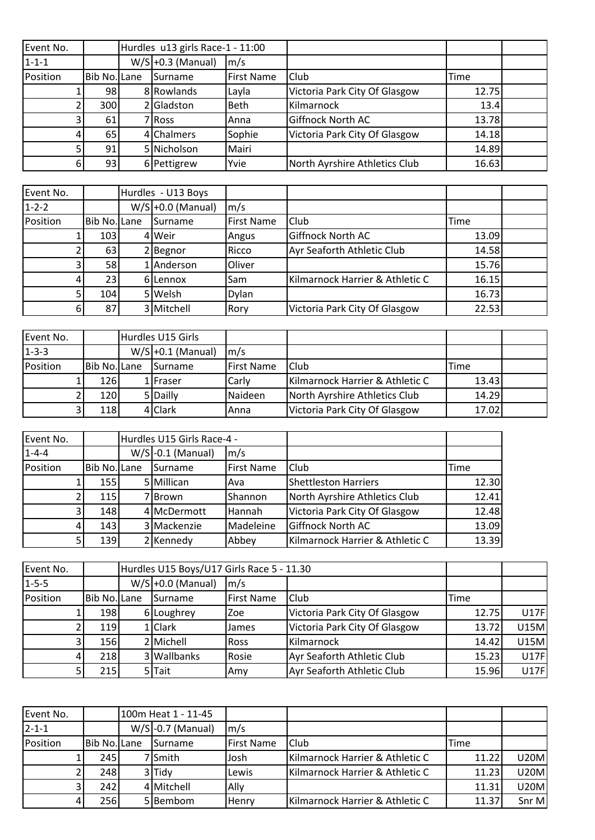| Event No.   |              | Hurdles u13 girls Race-1 - 11:00 |                   |                               |       |  |
|-------------|--------------|----------------------------------|-------------------|-------------------------------|-------|--|
| $1 - 1 - 1$ |              | $W/S$ +0.3 (Manual)              | $\mathsf{Im/s}$   |                               |       |  |
| Position    | Bib No. Lane | Surname                          | <b>First Name</b> | Club                          | Time  |  |
|             | 98           | 8 Rowlands                       | Layla             | Victoria Park City Of Glasgow | 12.75 |  |
|             | 300          | Gladston                         | <b>Beth</b>       | Kilmarnock                    | 13.4  |  |
| 31          | 61           | 7 Ross                           | Anna              | Giffnock North AC             | 13.78 |  |
| 4           | 65           | 4 Chalmers                       | Sophie            | Victoria Park City Of Glasgow | 14.18 |  |
| 5١          | 91           | 5 Nicholson                      | Mairi             |                               | 14.89 |  |
| 61          | 93           | 6 Pettigrew                      | Yvie              | North Ayrshire Athletics Club | 16.63 |  |

| Event No.   |              | Hurdles - U13 Boys  |                   |                                 |       |  |
|-------------|--------------|---------------------|-------------------|---------------------------------|-------|--|
| $1 - 2 - 2$ |              | $W/S$ +0.0 (Manual) | $\mathsf{Im/s}$   |                                 |       |  |
| Position    | Bib No. Lane | <b>I</b> Surname    | <b>First Name</b> | Club                            | Time  |  |
|             | 103          | 4 Weir              | Angus             | Giffnock North AC               | 13.09 |  |
|             | 63           | 2 Begnor            | Ricco             | Ayr Seaforth Athletic Club      | 14.58 |  |
|             | 58           | LAnderson           | Oliver            |                                 | 15.76 |  |
|             | 23           | 6ILennox            | Sam               | Kilmarnock Harrier & Athletic C | 16.15 |  |
|             | 104          | 5 Welsh             | Dylan             |                                 | 16.73 |  |
| 6           | 87           | 3 Mitchell          | Rory              | Victoria Park City Of Glasgow   | 22.53 |  |

| Event No.   |              | Hurdles U15 Girls |                     |                   |                                 |       |  |
|-------------|--------------|-------------------|---------------------|-------------------|---------------------------------|-------|--|
| $1 - 3 - 3$ |              |                   | $W/S$ +0.1 (Manual) | $\mathsf{Im/s}$   |                                 |       |  |
| Position    | Bib No. Lane |                   | <b>I</b> Surname    | <b>First Name</b> | <b>Club</b>                     | Time  |  |
|             | 126          |                   | 1 Fraser            | Carly             | Kilmarnock Harrier & Athletic C | 13.43 |  |
|             | 120          |                   | 5 Dailly            | <b>I</b> Naideen  | North Ayrshire Athletics Club   | 14.29 |  |
|             | 118          |                   | 4 Clark             | Anna              | Victoria Park City Of Glasgow   | 17.02 |  |

| Event No.   |                  | Hurdles U15 Girls Race-4 - |                 |                                 |       |
|-------------|------------------|----------------------------|-----------------|---------------------------------|-------|
| $1 - 4 - 4$ |                  | $W/S$ -0.1 (Manual)        | $\mathsf{Im/s}$ |                                 |       |
| Position    | Bib No. Lane     | <b>I</b> Surname           | First Name      | Club                            | Time  |
|             | 155              | 5 Millican                 | Ava             | <b>Shettleston Harriers</b>     | 12.30 |
|             | 115 <sup>1</sup> | 7 Brown                    | Shannon         | North Ayrshire Athletics Club   | 12.41 |
|             | 148              | 4 McDermott                | Hannah          | Victoria Park City Of Glasgow   | 12.48 |
|             | 143              | 3 Mackenzie                | Madeleine       | Giffnock North AC               | 13.09 |
|             | <b>139</b>       | 2 Kennedy                  | Abbey           | Kilmarnock Harrier & Athletic C | 13.39 |

| Event No.   |                     | Hurdles U15 Boys/U17 Girls Race 5 - 11.30 |                   |                               |       |             |
|-------------|---------------------|-------------------------------------------|-------------------|-------------------------------|-------|-------------|
| $1 - 5 - 5$ |                     | $W/S$ +0.0 (Manual)                       | $\mathsf{Im/s}$   |                               |       |             |
| Position    | <b>Bib No. Lane</b> | Surname                                   | <b>First Name</b> | Club                          | Time  |             |
|             | 198                 | 6 Loughrey                                | <b>Zoe</b>        | Victoria Park City Of Glasgow | 12.75 | <b>U17F</b> |
|             | <b>119</b>          | 1 Clark                                   | <b>James</b>      | Victoria Park City Of Glasgow | 13.72 | <b>U15M</b> |
| 31          | <b>156</b>          | 2 Michell                                 | <b>I</b> Ross     | Kilmarnock                    | 14.42 | <b>U15M</b> |
| 41          | <b>218</b>          | 3 Wallbanks                               | Rosie             | Ayr Seaforth Athletic Club    | 15.23 | U17F        |
|             | 215                 | 5 Tait                                    | <b>IAmy</b>       | Ayr Seaforth Athletic Club    | 15.96 | U17F        |

| Event No.   |              | 100m Heat 1 - 11-45 |                   |                                 |       |             |
|-------------|--------------|---------------------|-------------------|---------------------------------|-------|-------------|
| $2 - 1 - 1$ |              | $W/S$ -0.7 (Manual) | $\mathsf{Im/s}$   |                                 |       |             |
| Position    | Bib No. Lane | <b>I</b> Surname    | <b>First Name</b> | <b>Club</b>                     | Time  |             |
|             | 245          | 7 <b>Smith</b>      | lJosh             | Kilmarnock Harrier & Athletic C | 11.22 | <b>U20M</b> |
|             | 248          | 3Tidy               | Lewis             | Kilmarnock Harrier & Athletic C | 11.23 | <b>U20M</b> |
|             | 2421         | 4 Mitchell          | <b>Ally</b>       |                                 | 11.31 | <b>U20M</b> |
| 41          | 256          | 5Bembom             | lHenrv            | Kilmarnock Harrier & Athletic C | 11.37 | Snr M       |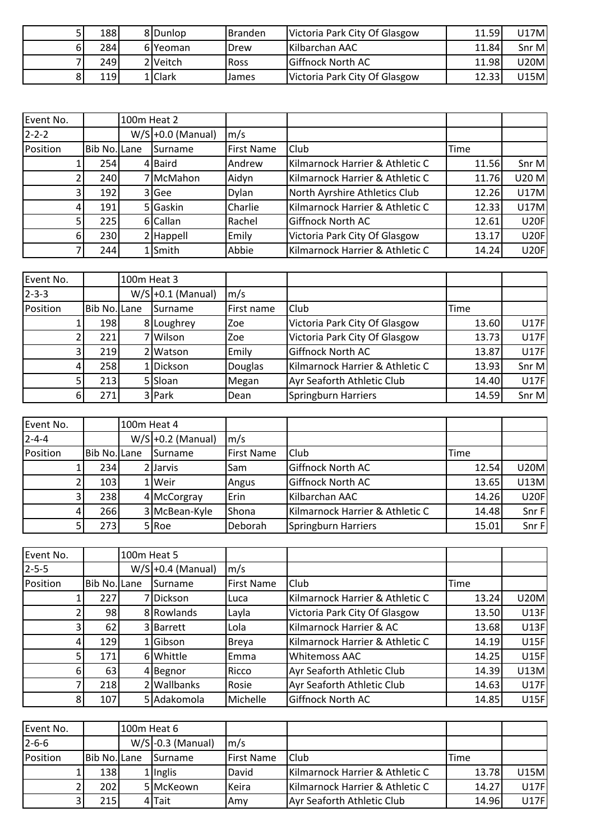| 188  | 8Dunlop          | <b>Branden</b> | Victoria Park City Of Glasgow | 11.59 | U17Ml |
|------|------------------|----------------|-------------------------------|-------|-------|
| 284  | 6IYeoman         | Drew           | Kilbarchan AAC                | 11.84 | Snr M |
| 249  | 2 Veitch         | <b>Ross</b>    | <b>Giffnock North AC</b>      | 11.98 | U20Ml |
| 119l | L <b>I</b> Clark | James          | Victoria Park City Of Glasgow | 12.33 | U15Ml |

| Event No.   |              | 100m Heat 2 |                     |                   |                                 |             |             |
|-------------|--------------|-------------|---------------------|-------------------|---------------------------------|-------------|-------------|
| $2 - 2 - 2$ |              |             | $W/S$ +0.0 (Manual) | m/s               |                                 |             |             |
| Position    | Bib No. Lane |             | <b>Surname</b>      | <b>First Name</b> | Club                            | <b>Time</b> |             |
|             | 254          |             | 4 Baird             | Andrew            | Kilmarnock Harrier & Athletic C | 11.56       | Snr M       |
|             | 240          |             | 7IMcMahon           | Aidyn             | Kilmarnock Harrier & Athletic C | 11.76       | U20 M       |
| 3           | 192          |             | 3 Gee               | <b>Dylan</b>      | North Ayrshire Athletics Club   | 12.26       | <b>U17M</b> |
| 4           | 191          |             | 5 Gaskin            | Charlie           | Kilmarnock Harrier & Athletic C | 12.33       | <b>U17M</b> |
|             | 225          |             | 6 Callan            | Rachel            | <b>Giffnock North AC</b>        | 12.61       | <b>U20F</b> |
| 6           | 230          |             | 2 Happell           | Emily             | Victoria Park City Of Glasgow   | 13.17       | <b>U20F</b> |
|             | 244          |             | 1Smith              | Abbie             | Kilmarnock Harrier & Athletic C | 14.24       | U20F        |

| Event No.   |              | 100m Heat 3 |                     |                 |                                 |       |             |
|-------------|--------------|-------------|---------------------|-----------------|---------------------------------|-------|-------------|
| $2 - 3 - 3$ |              |             | $W/S$ +0.1 (Manual) | $\mathsf{Im/s}$ |                                 |       |             |
| Position    | Bib No. Lane |             | Surname             | First name      | Club                            | Time  |             |
|             | 198          |             | 8 Loughrey          | <b>Zoe</b>      | Victoria Park City Of Glasgow   | 13.60 | U17F        |
|             | 221          |             | 7Wilson             | <b>Zoe</b>      | Victoria Park City Of Glasgow   | 13.73 | U17F        |
|             | 219          |             | 2 Watson            | Emily           | Giffnock North AC               | 13.87 | U17F        |
| 4           | 258          |             | 1Dickson            | <b>Douglas</b>  | Kilmarnock Harrier & Athletic C | 13.93 | Snr M       |
|             | 213          |             | 5 Sloan             | Megan           | Ayr Seaforth Athletic Club      | 14.40 | <b>U17F</b> |
| 6           | 271          |             | 3 Park              | Dean            | Springburn Harriers             | 14.59 | Snr M       |

| Event No.   |                  | 100m Heat 4 |                     |                   |                                 |       |             |
|-------------|------------------|-------------|---------------------|-------------------|---------------------------------|-------|-------------|
| $2 - 4 - 4$ |                  |             | $W/S$ +0.2 (Manual) | $\mathsf{Im/s}$   |                                 |       |             |
| Position    | Bib No. Lane     |             | <b>I</b> Surname    | <b>First Name</b> | <b>Club</b>                     | Time  |             |
|             | 234              |             | 2 Jarvis            | <b>Sam</b>        | Giffnock North AC               | 12.54 | <b>U20M</b> |
|             | 103 <sub>l</sub> |             | 1 Weir              | Angus             | Giffnock North AC               | 13.65 | <b>U13M</b> |
|             | 238              |             | 4 McCorgray         | Erin              | Kilbarchan AAC                  | 14.26 | U20F        |
| 41          | 266              |             | 3 McBean-Kyle       | Shona             | Kilmarnock Harrier & Athletic C | 14.48 | Snr F       |
|             | 2731             |             | $5$ Roe             | Deborah           | Springburn Harriers             | 15.01 | Snr F       |

| Event No.      |                     | 100m Heat 5 |                     |                   |                                 |       |             |
|----------------|---------------------|-------------|---------------------|-------------------|---------------------------------|-------|-------------|
| $2 - 5 - 5$    |                     |             | $W/S$ +0.4 (Manual) | m/s               |                                 |       |             |
| Position       | <b>Bib No. Lane</b> |             | Surname             | <b>First Name</b> | Club                            | Time  |             |
|                | 227                 |             | 7 Dickson           | Luca              | Kilmarnock Harrier & Athletic C | 13.24 | <b>U20M</b> |
|                | 98                  |             | 8 Rowlands          | Layla             | Victoria Park City Of Glasgow   | 13.50 | <b>U13F</b> |
|                | 62                  |             | 3 Barrett           | Lola              | Kilmarnock Harrier & AC         | 13.68 | <b>U13F</b> |
|                | 129                 |             | <b>Gibson</b>       | <b>Breya</b>      | Kilmarnock Harrier & Athletic C | 14.19 | <b>U15F</b> |
|                | 171                 |             | 6 Whittle           | Emma              | <b>Whitemoss AAC</b>            | 14.25 | U15F        |
| 6              | 63                  |             | 4 Begnor            | Ricco             | Ayr Seaforth Athletic Club      | 14.39 | U13M        |
|                | 218                 |             | 2 Wallbanks         | Rosie             | Ayr Seaforth Athletic Club      | 14.63 | <b>U17F</b> |
| 8 <sup>1</sup> | 107                 |             | 5 Adakomola         | Michelle          | <b>Giffnock North AC</b>        | 14.85 | U15F        |

| Event No.   |              | 100m Heat 6 |                     |                    |                                 |       |             |
|-------------|--------------|-------------|---------------------|--------------------|---------------------------------|-------|-------------|
| $2 - 6 - 6$ |              |             | $W/S$ -0.3 (Manual) | $\mathsf{Im/s}$    |                                 |       |             |
| Position    | Bib No. Lane |             | <b>I</b> Surname    | <b>IFirst Name</b> | <b>Club</b>                     | Time  |             |
|             | 138          |             | 1 Inglis            | David              | Kilmarnock Harrier & Athletic C | 13.78 | <b>U15M</b> |
|             | 202          |             | 5 McKeown           | <b>I</b> Keira     | Kilmarnock Harrier & Athletic C | 14.27 | <b>U17F</b> |
|             | 215l         |             | 4 Tait              | <b>Amy</b>         | Ayr Seaforth Athletic Club      | 14.96 | U17F        |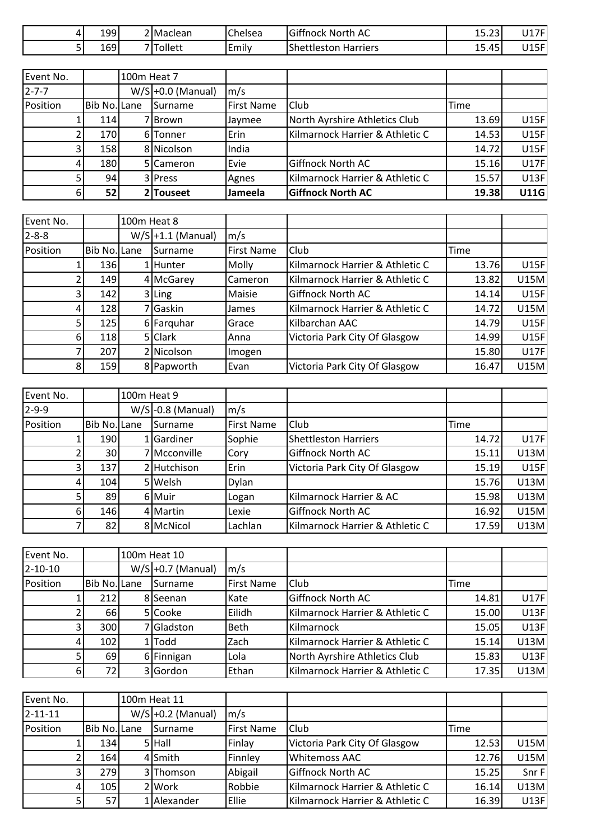| 199 | <sup>→</sup> IMaclean | Chelsea                                        | Giffnock<br>North AC                            | $\sim$<br>$\sim$<br>-<br>د ے.د ⊥ | 14.7 <sub>F</sub><br>$\sqrt{2}$<br><b>UI</b> |
|-----|-----------------------|------------------------------------------------|-------------------------------------------------|----------------------------------|----------------------------------------------|
| 169 | 기Tollett              | $\overline{\phantom{0}}$<br>$\cdot$ .<br>Emily | $\sim$ $\sim$<br>Shettleston<br><b>Harriers</b> | $\sim$<br>$45^{\circ}$<br>15.45  | 14E<br>56<br>◡⊥◡                             |

| Event No.   |              | 100m Heat 7 |                     |                   |                                 |       |             |
|-------------|--------------|-------------|---------------------|-------------------|---------------------------------|-------|-------------|
| $2 - 7 - 7$ |              |             | $W/S$ +0.0 (Manual) | $\mathsf{Im/s}$   |                                 |       |             |
| Position    | Bib No. Lane |             | Surname             | <b>First Name</b> | Club                            | Time  |             |
|             | 114I         |             | 7 I Brown           | Jaymee            | North Ayrshire Athletics Club   | 13.69 | U15F        |
|             | 170I         |             | 6 Tonner            | <b>Erin</b>       | Kilmarnock Harrier & Athletic C | 14.53 | U15F        |
| 31          | 158          |             | 8 Nicolson          | India             |                                 | 14.72 | U15F        |
|             | 180          |             | 5 Cameron           | Evie              | Giffnock North AC               | 15.16 | <b>U17F</b> |
|             | 94           |             | 3 Press             | Agnes             | Kilmarnock Harrier & Athletic C | 15.57 | U13F        |
| 61          | 52           |             | 2 Touseet           | <b>Jameela</b>    | <b>Giffnock North AC</b>        | 19.38 | <b>U11G</b> |

| Event No.   |                  | 100m Heat 8 |                     |                   |                                 |       |             |
|-------------|------------------|-------------|---------------------|-------------------|---------------------------------|-------|-------------|
| $2 - 8 - 8$ |                  |             | $W/S$ +1.1 (Manual) | m/s               |                                 |       |             |
| Position    | Bib No. Lane     |             | Surname             | <b>First Name</b> | Club                            | Time  |             |
|             | 136 l            |             | 1 Hunter            | Molly             | Kilmarnock Harrier & Athletic C | 13.76 | U15F        |
|             | 149 <sup>I</sup> |             | 4 McGarey           | Cameron           | Kilmarnock Harrier & Athletic C | 13.82 | <b>U15M</b> |
| 3           | 142              |             | $3$ Ling            | Maisie            | <b>Giffnock North AC</b>        | 14.14 | U15F        |
| 4           | <b>128</b>       |             | 7 Gaskin            | James             | Kilmarnock Harrier & Athletic C | 14.72 | <b>U15M</b> |
|             | 125              |             | 6 Farguhar          | Grace             | Kilbarchan AAC                  | 14.79 | <b>U15F</b> |
| 61          | <b>118</b>       |             | 5 Clark             | Anna              | Victoria Park City Of Glasgow   | 14.99 | U15F        |
|             | 207              |             | 2 Nicolson          | Imogen            |                                 | 15.80 | <b>U17F</b> |
| 81          | 159              |             | 8 Papworth          | Evan              | Victoria Park City Of Glasgow   | 16.47 | <b>U15M</b> |

| Event No.   |                     | 100m Heat 9 |                     |                   |                                 |       |             |
|-------------|---------------------|-------------|---------------------|-------------------|---------------------------------|-------|-------------|
| $2 - 9 - 9$ |                     |             | $W/S$ -0.8 (Manual) | $\mathsf{Im/s}$   |                                 |       |             |
| Position    | <b>Bib No. Lane</b> |             | <b>I</b> Surname    | <b>First Name</b> | Club                            | Time  |             |
|             | 190                 |             | <b>Sardiner</b>     | Sophie            | <b>Shettleston Harriers</b>     | 14.72 | <b>U17F</b> |
|             | 30                  |             | 7 Mcconville        | Cory              | <b>Giffnock North AC</b>        | 15.11 | U13M        |
|             | 137                 |             | 2 Hutchison         | Erin              | Victoria Park City Of Glasgow   | 15.19 | U15F        |
|             | 104                 |             | 5 Welsh             | <b>Dylan</b>      |                                 | 15.76 | U13M        |
|             | 89                  |             | 6 Muir              | Logan             | Kilmarnock Harrier & AC         | 15.98 | U13M        |
| 61          | 146                 |             | 4 Martin            | Lexie             | <b>Giffnock North AC</b>        | 16.92 | <b>U15M</b> |
|             | 82                  |             | 8 McNicol           | Lachlan           | Kilmarnock Harrier & Athletic C | 17.59 | U13M        |

| Event No.     |              | 100m Heat 10 |                     |                   |                                 |       |             |
|---------------|--------------|--------------|---------------------|-------------------|---------------------------------|-------|-------------|
| $2 - 10 - 10$ |              |              | $W/S$ +0.7 (Manual) | $\mathsf{Im/s}$   |                                 |       |             |
| Position      | Bib No. Lane |              | Surname             | <b>First Name</b> | Club                            | Time  |             |
|               | 212          |              | 8 Seenan            | <b>I</b> Kate     | Giffnock North AC               | 14.81 | <b>U17F</b> |
|               | 66           |              | 5 Cooke             | Eilidh            | Kilmarnock Harrier & Athletic C | 15.00 | U13F        |
| 3             | 300          |              | 7Gladston           | <b>Beth</b>       | Kilmarnock                      | 15.05 | U13F        |
| 4             | 102          |              | L <b>I</b> Todd     | Zach              | Kilmarnock Harrier & Athletic C | 15.14 | U13M        |
|               | 69           |              | 6 Finnigan          | Lola              | North Ayrshire Athletics Club   | 15.83 | U13F        |
| 6             | 72           |              | 3 Gordon            | Ethan             | Kilmarnock Harrier & Athletic C | 17.35 | U13M        |

| Event No.     |              | 100m Heat 11 |                     |                   |                                 |       |             |
|---------------|--------------|--------------|---------------------|-------------------|---------------------------------|-------|-------------|
| $2 - 11 - 11$ |              |              | $W/S$ +0.2 (Manual) | $\mathsf{Im/s}$   |                                 |       |             |
| Position      | Bib No. Lane |              | <b>I</b> Surname    | <b>First Name</b> | Club                            | Time  |             |
|               | 134          |              | 5 Hall              | Finlay            | Victoria Park City Of Glasgow   | 12.53 | <b>U15M</b> |
|               | 164          |              | 4 Smith             | Finnley           | <b>Whitemoss AAC</b>            | 12.76 | <b>U15M</b> |
|               | 279I         |              | 3 Thomson           | Abigail           | Giffnock North AC               | 15.25 | Snr F       |
| 41            | 105          |              | 2 Work              | Robbie            | Kilmarnock Harrier & Athletic C | 16.14 | U13M        |
|               | 57           |              | LAlexander          | <b>Ellie</b>      | Kilmarnock Harrier & Athletic C | 16.39 | U13F        |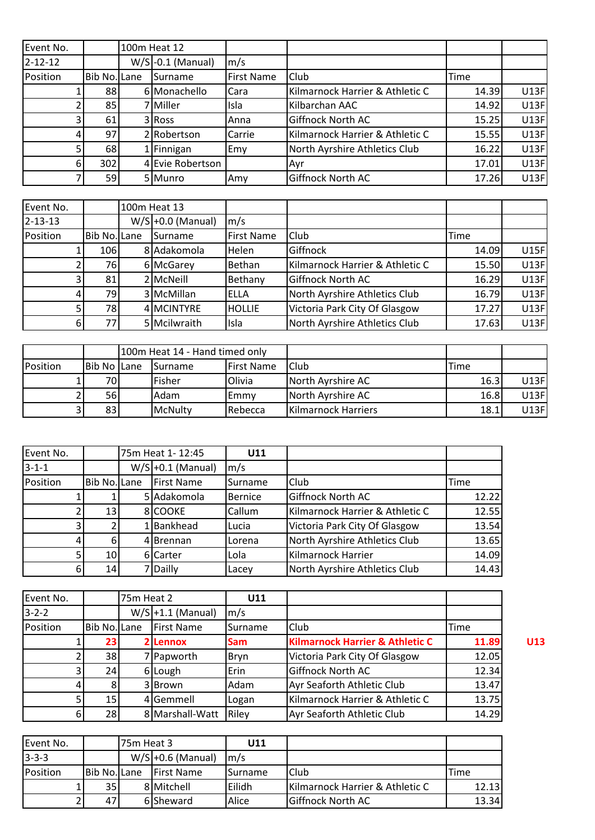| Event No.     |              | 100m Heat 12        |                   |                                 |       |      |
|---------------|--------------|---------------------|-------------------|---------------------------------|-------|------|
| $2 - 12 - 12$ |              | $W/S$ -0.1 (Manual) | $\mathsf{Im/s}$   |                                 |       |      |
| Position      | Bib No. Lane | Surname             | <b>First Name</b> | Club                            | Time  |      |
|               | 88           | 6 Monachello        | <b>I</b> Cara     | Kilmarnock Harrier & Athletic C | 14.39 | U13F |
|               | 85           | 7 Miller            | Isla              | Kilbarchan AAC                  | 14.92 | U13F |
| 31            | 61           | 3 Ross              | Anna              | <b>Giffnock North AC</b>        | 15.25 | U13F |
|               | 97           | 2 Robertson         | <b>Carrie</b>     | Kilmarnock Harrier & Athletic C | 15.55 | U13F |
|               | 68           | 1 Finnigan          | Emy               | North Ayrshire Athletics Club   | 16.22 | U13F |
| 6             | 302          | 4 Evie Robertson    |                   | Ayr                             | 17.01 | U13F |
|               | 59           | 5 Munro             | lAmv              | Giffnock North AC               | 17.26 | U13F |

| Event No.     |              | 100m Heat 13        |                   |                                 |       |      |
|---------------|--------------|---------------------|-------------------|---------------------------------|-------|------|
| $2 - 13 - 13$ |              | $W/S$ +0.0 (Manual) | $\mathsf{Im/s}$   |                                 |       |      |
| Position      | Bib No. Lane | Surname             | <b>First Name</b> | Club                            | Time  |      |
|               | 106          | 8 Adakomola         | Helen             | Giffnock                        | 14.09 | U15F |
|               | 76           | 6 McGarey           | Bethan            | Kilmarnock Harrier & Athletic C | 15.50 | U13F |
|               | 81           | 2 McNeill           | Bethany           | Giffnock North AC               | 16.29 | U13F |
|               | 79           | 3 McMillan          | ELLA              | North Ayrshire Athletics Club   | 16.79 | U13F |
|               | 78           | 4 MCINTYRE          | <b>HOLLIE</b>     | Victoria Park City Of Glasgow   | 17.27 | U13F |
| 6             | 77           | 5 Mcilwraith        | Isla              | North Ayrshire Athletics Club   | 17.63 | U13F |

|          |             | 100m Heat 14 - Hand timed only |                  |                    |                     |      |       |
|----------|-------------|--------------------------------|------------------|--------------------|---------------------|------|-------|
| Position | Bib No Lane |                                | <b>I</b> Surname | <b>IFirst Name</b> | Club                | Time |       |
|          | 70          |                                | Fisher           | Olivia             | North Ayrshire AC   | 16.3 | U13F  |
|          | <b>56</b>   |                                | Adam             | lEmmv              | North Ayrshire AC   | 16.8 | U13Fl |
|          | 83          |                                | McNulty          | <b>I</b> Rebecca   | Kilmarnock Harriers | 18.1 | U13Fl |

| Event No.   |                 | 75m Heat 1-12:45    | U11             |                                 |       |
|-------------|-----------------|---------------------|-----------------|---------------------------------|-------|
| $3 - 1 - 1$ |                 | $W/S$ +0.1 (Manual) | $\mathsf{Im/s}$ |                                 |       |
| Position    | Bib No. Lane    | <b>First Name</b>   | <b>Surname</b>  | <b>Club</b>                     | Time  |
|             |                 | 5 Adakomola         | Bernice         | <b>Giffnock North AC</b>        | 12.22 |
|             | 13              | 8 COOKE             | Callum          | Kilmarnock Harrier & Athletic C | 12.55 |
|             |                 | 1Bankhead           | Lucia           | Victoria Park City Of Glasgow   | 13.54 |
| 4           | 6 <sup>1</sup>  | 4Brennan            | Lorena          | North Ayrshire Athletics Club   | 13.65 |
|             | 10 <sup>1</sup> | 6 Carter            | Lola            | Kilmarnock Harrier              | 14.09 |
| 6           | 14              | 7 Dailly            | Lacey           | North Ayrshire Athletics Club   | 14.43 |

| Event No.   |                 | 75m Heat 2 |                     | U11             |                                            |       |     |
|-------------|-----------------|------------|---------------------|-----------------|--------------------------------------------|-------|-----|
| $3 - 2 - 2$ |                 |            | $W/S$ +1.1 (Manual) | $\mathsf{Im/s}$ |                                            |       |     |
| Position    | Bib No. Lane    |            | <b>First Name</b>   | Surname         | Club                                       | Time  |     |
|             | <b>231</b>      |            | 2 Lennox            | <b>Sam</b>      | <b>Kilmarnock Harrier &amp; Athletic C</b> | 11.89 | U13 |
|             | 38 <sup>1</sup> |            | 7 Papworth          | Bryn            | Victoria Park City Of Glasgow              | 12.05 |     |
|             | 24              |            | 6 Lough             | Erin            | <b>Giffnock North AC</b>                   | 12.34 |     |
|             |                 |            | 3Brown              | Adam            | Ayr Seaforth Athletic Club                 | 13.47 |     |
|             | 15 <sub>l</sub> |            | 4 Gemmell           | Logan           | Kilmarnock Harrier & Athletic C            | 13.75 |     |
| 6           | 28              |            | 8 Marshall-Watt     | Riley           | Ayr Seaforth Athletic Club                 | 14.29 |     |

| Event No.       |                 | 75m Heat 3 |                     | U11              |                                 |       |
|-----------------|-----------------|------------|---------------------|------------------|---------------------------------|-------|
| $3 - 3 - 3$     |                 |            | $W/S$ +0.6 (Manual) | Im/s             |                                 |       |
| <b>Position</b> | Bib No. Lane    |            | <b>IFirst Name</b>  | <b>I</b> Surname | <b>Club</b>                     | Time  |
|                 | 35 <sub>l</sub> |            | 8 Mitchell          | <b>lEilidh</b>   | Kilmarnock Harrier & Athletic C | 12.13 |
|                 | 47              |            | 6 Sheward           | Alice            | <b>Giffnock North AC</b>        | 13.34 |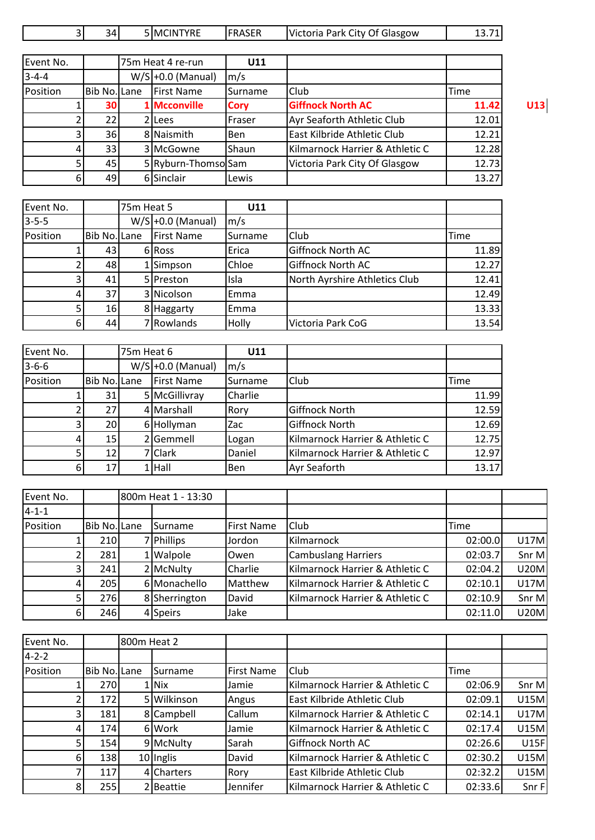| Event No.   |                 | 75m Heat 4 re-run   | U11             |                                 |       |     |
|-------------|-----------------|---------------------|-----------------|---------------------------------|-------|-----|
| $3 - 4 - 4$ |                 | $W/S$ +0.0 (Manual) | $\mathsf{Im/s}$ |                                 |       |     |
| Position    | Bib No. Lane    | First Name          | Surname         | <b>Club</b>                     | Time  |     |
|             | 30              | Mcconville          | <b>Cory</b>     | <b>Giffnock North AC</b>        | 11.42 | U13 |
|             | 22 <sub>1</sub> | lLees               | Fraser          | Ayr Seaforth Athletic Club      | 12.01 |     |
|             | 36              | 8 Naismith          | <b>I</b> Ben    | East Kilbride Athletic Club     | 12.21 |     |
|             | 33              | 3 McGowne           | Shaun           | Kilmarnock Harrier & Athletic C | 12.28 |     |
|             | 45              | 5 Ryburn-ThomsolSam |                 | Victoria Park City Of Glasgow   | 12.73 |     |
| 6           | 49              | 6 Sinclair          | Lewis           |                                 | 13.27 |     |

| Event No.   |              | 75m Heat 5 |                     | U11             |                               |       |
|-------------|--------------|------------|---------------------|-----------------|-------------------------------|-------|
| $3 - 5 - 5$ |              |            | $W/S$ +0.0 (Manual) | $\mathsf{Im/s}$ |                               |       |
| Position    | Bib No. Lane |            | First Name          | <b>Surname</b>  | Club                          | Time  |
|             | 431          |            | 6 Ross              | Erica           | <b>Giffnock North AC</b>      | 11.89 |
|             | 48           |            | 1Simpson            | Chloe           | Giffnock North AC             | 12.27 |
|             | 41           |            | 5 Preston           | Isla            | North Ayrshire Athletics Club | 12.41 |
|             | 37           |            | 3 Nicolson          | Emma            |                               | 12.49 |
|             | 16           |            | 8 Haggarty          | Emma            |                               | 13.33 |
|             | 44           |            | 7 Rowlands          | <b>Holly</b>    | Victoria Park CoG             | 13.54 |

| Event No.   |                 | 75m Heat 6 |                     | U11             |                                 |       |
|-------------|-----------------|------------|---------------------|-----------------|---------------------------------|-------|
| $3 - 6 - 6$ |                 |            | $W/S$ +0.0 (Manual) | $\mathsf{Im/s}$ |                                 |       |
| Position    | Bib No. Lane    |            | <b>First Name</b>   | Surname         | Club                            | Time  |
|             | 31              |            | 5 McGillivray       | Charlie         |                                 | 11.99 |
|             | 27I             |            | 4 Marshall          | Rory            | <b>Giffnock North</b>           | 12.59 |
|             | 20 <sup>1</sup> |            | 6 Hollyman          | Zac             | <b>Giffnock North</b>           | 12.69 |
|             | 15 <sup>1</sup> |            | 2 Gemmell           | Logan           | Kilmarnock Harrier & Athletic C | 12.75 |
| 5           | 12 <sub>l</sub> |            | 7 Clark             | Daniel          | Kilmarnock Harrier & Athletic C | 12.97 |
| 6           | 17 <sup>1</sup> |            | $1$ Hall            | iBen.           | <b>Ayr Seaforth</b>             | 13.17 |

| Event No.    |                     | 800m Heat 1 - 13:30 |               |                   |                                 |         |             |
|--------------|---------------------|---------------------|---------------|-------------------|---------------------------------|---------|-------------|
| $14 - 1 - 1$ |                     |                     |               |                   |                                 |         |             |
| Position     | <b>Bib No. Lane</b> |                     | Surname       | <b>First Name</b> | Club                            | Time    |             |
|              | 210                 |                     | 7 Phillips    | Jordon            | Kilmarnock                      | 02:00.0 | U17M        |
|              | 281                 |                     | 1 Walpole     | Owen              | Cambuslang Harriers             | 02:03.7 | Snr M       |
| 31           | 241                 |                     | 2 McNulty     | Charlie           | Kilmarnock Harrier & Athletic C | 02:04.2 | <b>U20M</b> |
|              | 205                 |                     | 6 Monachello  | Matthew           | Kilmarnock Harrier & Athletic C | 02:10.1 | <b>U17M</b> |
|              | 276                 |                     | 8 Sherrington | David             | Kilmarnock Harrier & Athletic C | 02:10.9 | Snr M       |
| 6            | 246                 |                     | 4 Speirs      | Jake              |                                 | 02:11.0 | <b>U20M</b> |

| Event No.   |                     | 800m Heat 2 |                |                    |                                 |         |             |
|-------------|---------------------|-------------|----------------|--------------------|---------------------------------|---------|-------------|
| $4 - 2 - 2$ |                     |             |                |                    |                                 |         |             |
| Position    | <b>Bib No. Lane</b> |             | <b>Surname</b> | <b>IFirst Name</b> | Club                            | Time    |             |
|             | 270                 |             | . Nix          | Jamie              | Kilmarnock Harrier & Athletic C | 02:06.9 | Snr M       |
|             | 172I                |             | 5 Wilkinson    | Angus              | East Kilbride Athletic Club     | 02:09.1 | <b>U15M</b> |
| ا3          | 181                 |             | 8 Campbell     | Callum             | Kilmarnock Harrier & Athletic C | 02:14.1 | <b>U17M</b> |
| 41          | 174                 |             | 6 Work         | Jamie              | Kilmarnock Harrier & Athletic C | 02:17.4 | <b>U15M</b> |
|             | 154                 |             | 9 McNulty      | Sarah              | Giffnock North AC               | 02:26.6 | U15F        |
| 6           | 138 <sup>I</sup>    |             | $10$  Inglis   | David              | Kilmarnock Harrier & Athletic C | 02:30.2 | <b>U15M</b> |
|             | 117                 |             | 4 Charters     | Rory               | East Kilbride Athletic Club     | 02:32.2 | <b>U15M</b> |
| 81          | 255I                |             | 2 Beattie      | Jennifer           | Kilmarnock Harrier & Athletic C | 02:33.6 | Snr F       |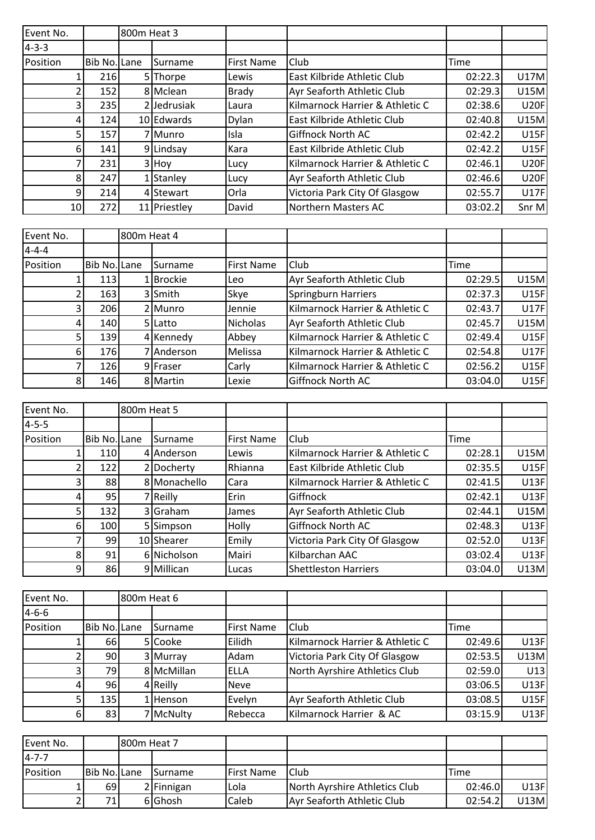| Event No.   |              | 800m Heat 3 |                |                   |                                 |             |             |
|-------------|--------------|-------------|----------------|-------------------|---------------------------------|-------------|-------------|
| $4 - 3 - 3$ |              |             |                |                   |                                 |             |             |
| Position    | Bib No. Lane |             | <b>Surname</b> | <b>First Name</b> | Club                            | <b>Time</b> |             |
|             | <b>216</b>   |             | 5 Thorpe       | Lewis             | East Kilbride Athletic Club     | 02:22.3     | <b>U17M</b> |
|             | 152          |             | 8 Mclean       | <b>Brady</b>      | Ayr Seaforth Athletic Club      | 02:29.3     | <b>U15M</b> |
| 31          | 235          |             | 2 Jedrusiak    | Laura             | Kilmarnock Harrier & Athletic C | 02:38.6     | <b>U20F</b> |
| 4           | 124          |             | 10 Edwards     | <b>Dylan</b>      | East Kilbride Athletic Club     | 02:40.8     | <b>U15M</b> |
| 5           | 157          |             | 7 I Munro      | Isla              | Giffnock North AC               | 02:42.2     | <b>U15F</b> |
| 61          | 141          |             | 9 Lindsay      | Kara              | East Kilbride Athletic Club     | 02:42.2     | <b>U15F</b> |
|             | 231          |             | 3 Hoy          | Lucy              | Kilmarnock Harrier & Athletic C | 02:46.1     | <b>U20F</b> |
| 81          | 247          |             | 1 Stanley      | Lucy              | Ayr Seaforth Athletic Club      | 02:46.6     | <b>U20F</b> |
| 9           | 214          |             | 4 Stewart      | Orla              | Victoria Park City Of Glasgow   | 02:55.7     | <b>U17F</b> |
| 10          | 272          |             | 11 Priestley   | David             | Northern Masters AC             | 03:02.2     | Snr M       |

| Event No.   |                     | 800m Heat 4 |                |                   |                                 |         |             |
|-------------|---------------------|-------------|----------------|-------------------|---------------------------------|---------|-------------|
| $4 - 4 - 4$ |                     |             |                |                   |                                 |         |             |
| Position    | <b>Bib No. Lane</b> |             | Surname        | <b>First Name</b> | Club                            | Time    |             |
|             | 113                 |             | <b>Brockie</b> | Leo               | Ayr Seaforth Athletic Club      | 02:29.5 | <b>U15M</b> |
|             | 163                 |             | 3 Smith        | Skye              | Springburn Harriers             | 02:37.3 | <b>U15F</b> |
|             | 206                 |             | 2 Munro        | Jennie            | Kilmarnock Harrier & Athletic C | 02:43.7 | <b>U17F</b> |
| 4           | 140                 |             | 5 Latto        | Nicholas          | Ayr Seaforth Athletic Club      | 02:45.7 | <b>U15M</b> |
|             | <b>139</b>          |             | 4 Kennedy      | Abbey             | Kilmarnock Harrier & Athletic C | 02:49.4 | U15F        |
| 61          | 176                 |             | 7   Anderson   | Melissa           | Kilmarnock Harrier & Athletic C | 02:54.8 | <b>U17F</b> |
|             | <b>126</b>          |             | 9 Fraser       | Carly             | Kilmarnock Harrier & Athletic C | 02:56.2 | U15F        |
| 81          | 146                 |             | 8 Martin       | Lexie             | <b>Giffnock North AC</b>        | 03:04.0 | U15F        |

| Event No.   |              | 800m Heat 5 |                |                   |                                 |         |             |
|-------------|--------------|-------------|----------------|-------------------|---------------------------------|---------|-------------|
| $4 - 5 - 5$ |              |             |                |                   |                                 |         |             |
| Position    | Bib No. Lane |             | <b>Surname</b> | <b>First Name</b> | Club                            | Time    |             |
|             | <b>110</b>   |             | 4 Anderson     | Lewis             | Kilmarnock Harrier & Athletic C | 02:28.1 | <b>U15M</b> |
|             | 122          |             | 2 Docherty     | Rhianna           | East Kilbride Athletic Club     | 02:35.5 | <b>U15F</b> |
|             | 88           |             | 8 Monachello   | Cara              | Kilmarnock Harrier & Athletic C | 02:41.5 | U13F        |
|             | 95           |             | 7 Reilly       | Erin              | Giffnock                        | 02:42.1 | <b>U13F</b> |
|             | 132          |             | 3 Graham       | <b>James</b>      | Ayr Seaforth Athletic Club      | 02:44.1 | <b>U15M</b> |
| 61          | 100          |             | 5 Simpson      | Holly             | <b>Giffnock North AC</b>        | 02:48.3 | U13F        |
|             | 99           |             | 10 Shearer     | Emily             | Victoria Park City Of Glasgow   | 02:52.0 | U13F        |
| 81          | 91           |             | 6 Nicholson    | Mairi             | Kilbarchan AAC                  | 03:02.4 | U13F        |
| 91          | 86           |             | 9 Millican     | Lucas             | <b>Shettleston Harriers</b>     | 03:04.0 | U13M        |

| Event No.   |              | 800m Heat 6 |                |                   |                                 |         |             |
|-------------|--------------|-------------|----------------|-------------------|---------------------------------|---------|-------------|
| $4 - 6 - 6$ |              |             |                |                   |                                 |         |             |
| Position    | Bib No. Lane |             | <b>Surname</b> | <b>First Name</b> | Club                            | Time    |             |
|             | <b>66</b>    |             | 5 Cooke        | Eilidh            | Kilmarnock Harrier & Athletic C | 02:49.6 | U13F        |
|             | 90           |             | 3 Murray       | Adam              | Victoria Park City Of Glasgow   | 02:53.5 | U13M        |
|             | 79I          |             | 8 McMillan     | ELLA              | North Ayrshire Athletics Club   | 02:59.0 | U13         |
|             | 96           |             | 4 Reilly       | Neve              |                                 | 03:06.5 | <b>U13F</b> |
|             | <b>135</b>   |             | Henson         | Evelyn            | Ayr Seaforth Athletic Club      | 03:08.5 | <b>U15F</b> |
| 61          | 83           |             | 7 McNulty      | Rebecca           | Kilmarnock Harrier & AC         | 03:15.9 | <b>U13F</b> |

| Event No.    |              | 1800m Heat 7 |                  |                    |                               |         |       |
|--------------|--------------|--------------|------------------|--------------------|-------------------------------|---------|-------|
| $14 - 7 - 7$ |              |              |                  |                    |                               |         |       |
| Position     | Bib No. Lane |              | <b>I</b> Surname | <b>IFirst Name</b> | IClub                         | Time    |       |
|              | 69           |              | 2 Finnigan       | Lola               | North Ayrshire Athletics Club | 02:46.0 | U13Fl |
|              | 71.          |              | 6 Ghosh          | Caleb              | Ayr Seaforth Athletic Club    | 02:54.2 | U13M  |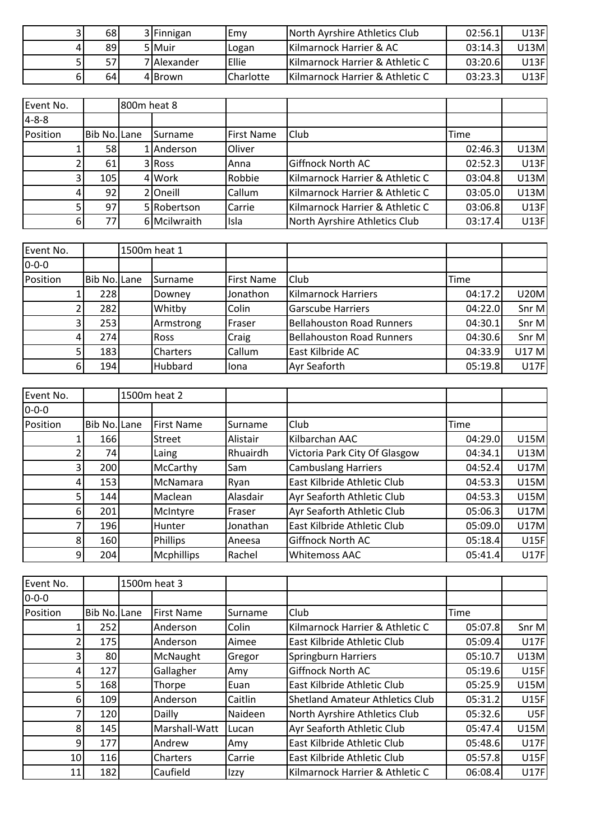|    | 68  | 3 Finnigan  | lEmv               | North Ayrshire Athletics Club   | 02:56.1 | U13Fl |
|----|-----|-------------|--------------------|---------------------------------|---------|-------|
|    | 89  | 5 Muir      | Logan              | Kilmarnock Harrier & AC         | 03:14.3 | J13Ml |
|    | 57I | 7 Alexander | <b>IEllie</b>      | Kilmarnock Harrier & Athletic C | 03:20.6 | U13Fl |
| 61 | 64  | 4 Brown     | <b>I</b> Charlotte | Kilmarnock Harrier & Athletic C | 03:23.3 | U13Fl |

| Event No.   |              | 800m heat 8 |                |                   |                                 |         |      |
|-------------|--------------|-------------|----------------|-------------------|---------------------------------|---------|------|
| $4 - 8 - 8$ |              |             |                |                   |                                 |         |      |
| Position    | Bib No. Lane |             | <b>Surname</b> | <b>First Name</b> | Club                            | Time    |      |
|             | 58           |             | Anderson       | Oliver            |                                 | 02:46.3 | U13M |
|             | 61           |             | 3 Ross         | Anna              | Giffnock North AC               | 02:52.3 | U13F |
|             | 105          |             | 4 Work         | Robbie            | Kilmarnock Harrier & Athletic C | 03:04.8 | U13M |
|             | 92           |             | 210neill       | Callum            | Kilmarnock Harrier & Athletic C | 03:05.0 | U13M |
|             | 97           |             | 5 Robertson    | Carrie            | Kilmarnock Harrier & Athletic C | 03:06.8 | U13F |
| 61          | 77           |             | 6 Mcilwraith   | Isla              | North Ayrshire Athletics Club   | 03:17.4 | U13F |

| Event No.   |                     | 1500m heat 1    |                   |                                  |         |             |
|-------------|---------------------|-----------------|-------------------|----------------------------------|---------|-------------|
| $0 - 0 - 0$ |                     |                 |                   |                                  |         |             |
| Position    | <b>Bib No. Lane</b> | ISurname        | <b>First Name</b> | Club                             | Time    |             |
|             | 228                 | Downey          | Jonathon          | <b>Kilmarnock Harriers</b>       | 04:17.2 | <b>U20M</b> |
|             | 282                 | Whitby          | Colin             | <b>Garscube Harriers</b>         | 04:22.0 | Snr M       |
| 31          | 253                 | Armstrong       | Fraser            | <b>Bellahouston Road Runners</b> | 04:30.1 | Snr M       |
| 41          | 274                 | <b>Ross</b>     | Craig             | <b>Bellahouston Road Runners</b> | 04:30.6 | Snr M       |
|             | 183                 | <b>Charters</b> | Callum            | East Kilbride AC                 | 04:33.9 | U17 M       |
| 6           | 194                 | Hubbard         | llona             | <b>Ayr Seaforth</b>              | 05:19.8 | U17F        |

| Event No.   |                  | 1500m heat 2      |                |                               |         |             |
|-------------|------------------|-------------------|----------------|-------------------------------|---------|-------------|
| $0 - 0 - 0$ |                  |                   |                |                               |         |             |
| Position    | Bib No. Lane     | <b>First Name</b> | <b>Surname</b> | Club                          | Time    |             |
|             | 166              | Street            | Alistair       | Kilbarchan AAC                | 04:29.0 | <b>U15M</b> |
|             | 74               | Laing             | Rhuairdh       | Victoria Park City Of Glasgow | 04:34.1 | <b>U13M</b> |
|             | 200              | McCarthy          | Sam            | <b>Cambuslang Harriers</b>    | 04:52.4 | <b>U17M</b> |
|             | 153 <sup> </sup> | McNamara          | Ryan           | East Kilbride Athletic Club   | 04:53.3 | <b>U15M</b> |
|             | 144              | Maclean           | Alasdair       | Ayr Seaforth Athletic Club    | 04:53.3 | <b>U15M</b> |
| 61          | 201              | McIntyre          | Fraser         | Ayr Seaforth Athletic Club    | 05:06.3 | <b>U17M</b> |
|             | 196              | Hunter            | Jonathan       | East Kilbride Athletic Club   | 05:09.0 | <b>U17M</b> |
| 81          | 160              | Phillips          | Aneesa         | Giffnock North AC             | 05:18.4 | U15F        |
| 91          | 204              | <b>Mcphillips</b> | Rachel         | <b>Whitemoss AAC</b>          | 05:41.4 | <b>U17F</b> |

| Event No.      |              | 1500m heat 3      |         |                                        |         |             |
|----------------|--------------|-------------------|---------|----------------------------------------|---------|-------------|
| $0 - 0 - 0$    |              |                   |         |                                        |         |             |
| Position       | Bib No. Lane | <b>First Name</b> | Surname | Club                                   | Time    |             |
|                | 252          | Anderson          | Colin   | Kilmarnock Harrier & Athletic C        | 05:07.8 | Snr M       |
|                | 175          | Anderson          | Aimee   | East Kilbride Athletic Club            | 05:09.4 | <b>U17F</b> |
|                | 80           | McNaught          | Gregor  | <b>Springburn Harriers</b>             | 05:10.7 | U13M        |
| 4              | 127          | Gallagher         | Amy     | <b>Giffnock North AC</b>               | 05:19.6 | <b>U15F</b> |
| 51             | 168          | Thorpe            | Euan    | East Kilbride Athletic Club            | 05:25.9 | <b>U15M</b> |
| 61             | 109          | Anderson          | Caitlin | <b>Shetland Amateur Athletics Club</b> | 05:31.2 | <b>U15F</b> |
|                | 120          | Dailly            | Naideen | North Ayrshire Athletics Club          | 05:32.6 | U5F         |
| 81             | 145          | Marshall-Watt     | Lucan   | Ayr Seaforth Athletic Club             | 05:47.4 | <b>U15M</b> |
| 9 <sub>l</sub> | 177          | Andrew            | Amy     | East Kilbride Athletic Club            | 05:48.6 | <b>U17F</b> |
| 10             | 116          | Charters          | Carrie  | East Kilbride Athletic Club            | 05:57.8 | <b>U15F</b> |
| 11             | 182          | Caufield          | Izzy    | Kilmarnock Harrier & Athletic C        | 06:08.4 | <b>U17F</b> |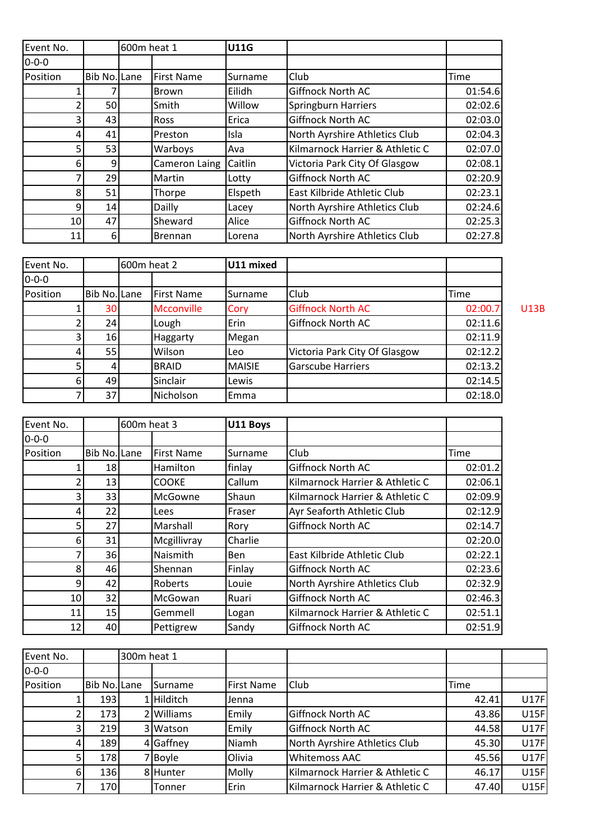| Event No.   |              | 600m heat 1 |                   | <b>U11G</b> |                                 |         |
|-------------|--------------|-------------|-------------------|-------------|---------------------------------|---------|
| $0 - 0 - 0$ |              |             |                   |             |                                 |         |
| Position    | Bib No. Lane |             | <b>First Name</b> | Surname     | Club                            | Time    |
|             |              |             | <b>Brown</b>      | Eilidh      | <b>Giffnock North AC</b>        | 01:54.6 |
|             | 50           |             | Smith             | Willow      | <b>Springburn Harriers</b>      | 02:02.6 |
|             | 43           |             | <b>Ross</b>       | Erica       | Giffnock North AC               | 02:03.0 |
|             | 41           |             | Preston           | Isla        | North Ayrshire Athletics Club   | 02:04.3 |
|             | 53           |             | Warboys           | Ava         | Kilmarnock Harrier & Athletic C | 02:07.0 |
| 6           | 9            |             | Cameron Laing     | Caitlin     | Victoria Park City Of Glasgow   | 02:08.1 |
|             | 29           |             | Martin            | Lotty       | <b>Giffnock North AC</b>        | 02:20.9 |
| 8           | 51           |             | Thorpe            | Elspeth     | East Kilbride Athletic Club     | 02:23.1 |
| 9           | 14           |             | Dailly            | Lacey       | North Ayrshire Athletics Club   | 02:24.6 |
| 10          | 47           |             | Sheward           | Alice       | Giffnock North AC               | 02:25.3 |
| 11          | 6            |             | <b>Brennan</b>    | Lorena      | North Ayrshire Athletics Club   | 02:27.8 |

| Event No.   |                     | 600m heat 2       | U11 mixed     |                               |         |             |
|-------------|---------------------|-------------------|---------------|-------------------------------|---------|-------------|
| $0 - 0 - 0$ |                     |                   |               |                               |         |             |
| Position    | <b>Bib No. Lane</b> | <b>First Name</b> | Surname       | Club                          | Time    |             |
|             | 30                  | <b>Mcconville</b> | Cory          | <b>Giffnock North AC</b>      | 02:00.7 | <b>U13B</b> |
|             | 24                  | Lough             | Erin          | <b>Giffnock North AC</b>      | 02:11.6 |             |
|             | 16                  | Haggarty          | Megan         |                               | 02:11.9 |             |
|             | 55                  | Wilson            | Leo           | Victoria Park City Of Glasgow | 02:12.2 |             |
|             |                     | <b>BRAID</b>      | <b>MAISIE</b> | <b>Garscube Harriers</b>      | 02:13.2 |             |
| 61          | 49                  | Sinclair          | Lewis         |                               | 02:14.5 |             |
|             | 37                  | Nicholson         | Emma          |                               | 02:18.0 |             |

| Event No.   |              | 600m heat 3 |                   | U11 Boys   |                                 |         |
|-------------|--------------|-------------|-------------------|------------|---------------------------------|---------|
| $0 - 0 - 0$ |              |             |                   |            |                                 |         |
| Position    | Bib No. Lane |             | <b>First Name</b> | Surname    | Club                            | Time    |
|             | 18           |             | Hamilton          | finlay     | Giffnock North AC               | 02:01.2 |
|             | 13           |             | <b>COOKE</b>      | Callum     | Kilmarnock Harrier & Athletic C | 02:06.1 |
| 3           | 33           |             | McGowne           | Shaun      | Kilmarnock Harrier & Athletic C | 02:09.9 |
| 4           | 22           |             | Lees              | Fraser     | Ayr Seaforth Athletic Club      | 02:12.9 |
| 5           | 27           |             | Marshall          | Rory       | Giffnock North AC               | 02:14.7 |
| 6           | 31           |             | Mcgillivray       | Charlie    |                                 | 02:20.0 |
|             | 36           |             | Naismith          | <b>Ben</b> | East Kilbride Athletic Club     | 02:22.1 |
| 8           | 46           |             | Shennan           | Finlay     | Giffnock North AC               | 02:23.6 |
| 9           | 42           |             | Roberts           | Louie      | North Ayrshire Athletics Club   | 02:32.9 |
| 10          | 32           |             | McGowan           | Ruari      | Giffnock North AC               | 02:46.3 |
| 11          | 15           |             | Gemmell           | Logan      | Kilmarnock Harrier & Athletic C | 02:51.1 |
| 12          | 40           |             | Pettigrew         | Sandy      | Giffnock North AC               | 02:51.9 |

| Event No.   |                  | 300m heat 1 |                 |                   |                                 |       |      |
|-------------|------------------|-------------|-----------------|-------------------|---------------------------------|-------|------|
| $0 - 0 - 0$ |                  |             |                 |                   |                                 |       |      |
| Position    | Bib No. Lane     |             | <b>Surname</b>  | <b>First Name</b> | Club                            | Time  |      |
|             | 193 <sup> </sup> |             | <b>Hilditch</b> | Jenna             |                                 | 42.41 | U17F |
|             | 173I             |             | 2 Williams      | Emily             | <b>Giffnock North AC</b>        | 43.86 | U15F |
|             | 219              |             | 3 Watson        | Emily             | <b>Giffnock North AC</b>        | 44.58 | U17F |
| 41          | 189              |             | 4 Gaffney       | Niamh             | North Ayrshire Athletics Club   | 45.30 | U17F |
|             | <b>178</b>       |             | 7 Boyle         | Olivia            | <b>Whitemoss AAC</b>            | 45.56 | U17F |
| 6           | <b>136</b>       |             | 8 Hunter        | Molly             | Kilmarnock Harrier & Athletic C | 46.17 | U15F |
|             | <b>170</b>       |             | Tonner          | Erin              | Kilmarnock Harrier & Athletic C | 47.40 | U15F |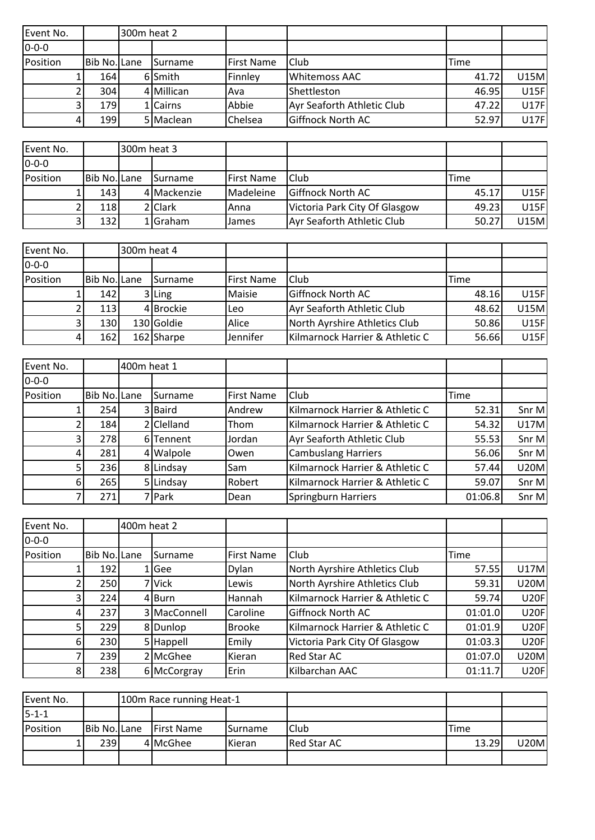| Event No.   |                  | 300m heat 2 |                  |                   |                            |       |             |
|-------------|------------------|-------------|------------------|-------------------|----------------------------|-------|-------------|
| $0 - 0 - 0$ |                  |             |                  |                   |                            |       |             |
| Position    | Bib No. Lane     |             | <b>I</b> Surname | <b>First Name</b> | <b>Club</b>                | Time  |             |
|             | 164              |             | 6 Smith          | Finnley           | Whitemoss AAC              | 41.72 | <b>U15M</b> |
|             | 304              |             | 4 Millican       | lAva              | <b>I</b> Shettleston       | 46.95 | <b>U15F</b> |
|             | 179 <sup>I</sup> |             | 1 Cairns         | Abbie             | Ayr Seaforth Athletic Club | 47.22 | <b>U17F</b> |
|             | 199              |             | 5 Maclean        | <b>Chelsea</b>    | <b>Giffnock North AC</b>   | 52.97 | <b>U17F</b> |

| Event No.    |                  | 300m heat 3 |                  |                    |                               |       |             |
|--------------|------------------|-------------|------------------|--------------------|-------------------------------|-------|-------------|
| $10 - 0 - 0$ |                  |             |                  |                    |                               |       |             |
| Position     | Bib No. Lane     |             | <b>I</b> Surname | <b>IFirst Name</b> | <b>Club</b>                   | Time  |             |
|              | 143 <sup>l</sup> |             | 4 Mackenzie      | Madeleine          | <b>Giffnock North AC</b>      | 45.17 | U15F        |
|              | 118              |             | 2 Clark          | IAnna              | Victoria Park City Of Glasgow | 49.23 | U15F        |
|              | 132              |             | 1 Graham         | <b>James</b>       | Ayr Seaforth Athletic Club    | 50.27 | <b>U15M</b> |

| Event No.    |              | 300m heat 4 |                 |                    |                                 |       |              |
|--------------|--------------|-------------|-----------------|--------------------|---------------------------------|-------|--------------|
| $10 - 0 - 0$ |              |             |                 |                    |                                 |       |              |
| Position     | Bib No. Lane |             | <b>ISurname</b> | <b>IFirst Name</b> | Club                            | Time  |              |
|              | 142          |             | $3$ Ling        | Maisie             | <b>Giffnock North AC</b>        | 48.16 | <b>U15FI</b> |
|              | 113          |             | 4 Brockie       | lLeo               | Ayr Seaforth Athletic Club      | 48.62 | U15M         |
|              | 130          |             | 130 Goldie      | Alice              | North Ayrshire Athletics Club   | 50.86 | U15F         |
|              | 162          |             | 162 Sharpe      | Jennifer           | Kilmarnock Harrier & Athletic C | 56.66 | U15F         |

| Event No.   |              | 400m heat 1 |                |                   |                                 |         |             |
|-------------|--------------|-------------|----------------|-------------------|---------------------------------|---------|-------------|
| $0 - 0 - 0$ |              |             |                |                   |                                 |         |             |
| Position    | Bib No. Lane |             | <b>Surname</b> | <b>First Name</b> | Club                            | Time    |             |
|             | 254          |             | 3 Baird        | Andrew            | Kilmarnock Harrier & Athletic C | 52.31   | Snr M       |
|             | 184          |             | 2 Clelland     | Thom              | Kilmarnock Harrier & Athletic C | 54.32   | <b>U17M</b> |
| 31          | 278          |             | 6 Tennent      | Jordan            | Ayr Seaforth Athletic Club      | 55.53   | Snr M       |
| 41          | 281          |             | 4 Walpole      | <b>Owen</b>       | <b>Cambuslang Harriers</b>      | 56.06   | Snr M       |
| 51          | 236          |             | 8 Lindsay      | Sam               | Kilmarnock Harrier & Athletic C | 57.44   | <b>U20M</b> |
| 61          | 265          |             | 5 Lindsay      | Robert            | Kilmarnock Harrier & Athletic C | 59.07   | Snr M       |
| 7           | 271          |             | 7 Park         | Dean              | Springburn Harriers             | 01:06.8 | Snr M       |

| Event No.   |                  | 400m heat 2 |              |                   |                                 |         |             |
|-------------|------------------|-------------|--------------|-------------------|---------------------------------|---------|-------------|
| $0 - 0 - 0$ |                  |             |              |                   |                                 |         |             |
| Position    | Bib No. Lane     |             | Surname      | <b>First Name</b> | Club                            | Time    |             |
|             | 192 <sup> </sup> |             | Gee          | <b>Dylan</b>      | North Ayrshire Athletics Club   | 57.55   | U17M        |
|             | 250              |             | 7 Vick       | Lewis             | North Ayrshire Athletics Club   | 59.31   | <b>U20M</b> |
| 31          | 224              |             | 4 Burn       | Hannah            | Kilmarnock Harrier & Athletic C | 59.74   | <b>U20F</b> |
| 4           | 237              |             | 3 MacConnell | Caroline          | <b>Giffnock North AC</b>        | 01:01.0 | <b>U20F</b> |
| 51          | 229              |             | 8Dunlop      | <b>Brooke</b>     | Kilmarnock Harrier & Athletic C | 01:01.9 | <b>U20F</b> |
| 61          | 230              |             | 5 Happell    | Emily             | Victoria Park City Of Glasgow   | 01:03.3 | <b>U20F</b> |
|             | 239              |             | 2 McGhee     | Kieran            | Red Star AC                     | 01:07.0 | <b>U20M</b> |
| 81          | 238              |             | 6 McCorgray  | Erin              | Kilbarchan AAC                  | 01:11.7 | <b>U20F</b> |

| Event No.   |              | 100m Race running Heat-1 |                  |             |       |      |
|-------------|--------------|--------------------------|------------------|-------------|-------|------|
| $5 - 1 - 1$ |              |                          |                  |             |       |      |
| Position    | Bib No. Lane | <b>IFirst Name</b>       | <b>I</b> Surname | Club        | Time  |      |
|             | 239          | 4 McGhee                 | <b>I</b> Kieran  | Red Star AC | 13.29 | U20M |
|             |              |                          |                  |             |       |      |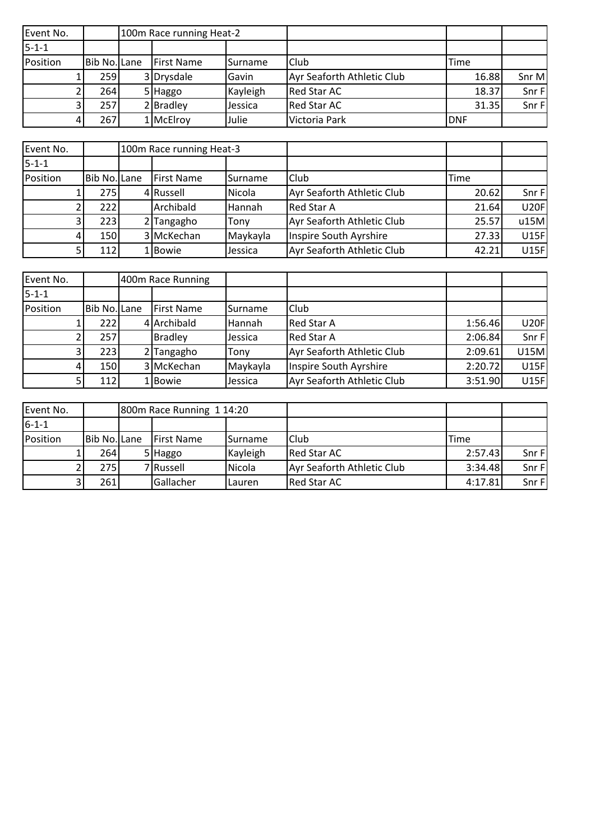| Event No.   |              | 100m Race running Heat-2 |                |                            |            |        |
|-------------|--------------|--------------------------|----------------|----------------------------|------------|--------|
| $5 - 1 - 1$ |              |                          |                |                            |            |        |
| Position    | Bib No. Lane | <b>IFirst Name</b>       | <b>Surname</b> | <b>Club</b>                | Time       |        |
|             | 259          | 3 Drysdale               | Gavin          | Ayr Seaforth Athletic Club | 16.88      | Snr M  |
|             | 264I         | 5 Haggo                  | Kayleigh       | <b>Red Star AC</b>         | 18.37      | Snr Fl |
|             | 257          | 2 Bradley                | Jessica        | <b>Red Star AC</b>         | 31.35      | Snr F  |
|             | 2671         | 1 McElroy                | <b>Julie</b>   | Victoria Park              | <b>DNF</b> |        |

| Event No.   |              | 100m Race running Heat-3 |                  |                            |       |             |
|-------------|--------------|--------------------------|------------------|----------------------------|-------|-------------|
| $5 - 1 - 1$ |              |                          |                  |                            |       |             |
| Position    | Bib No. Lane | <b>First Name</b>        | <b>I</b> Surname | Club                       | Time  |             |
|             | 275I         | 4 Russell                | <b>Nicola</b>    | Ayr Seaforth Athletic Club | 20.62 | Snr F       |
|             | 222          | Archibald                | <b>Hannah</b>    | <b>Red Star A</b>          | 21.64 | <b>U20F</b> |
|             | 223          | 2 Tangagho               | Tony             | Ayr Seaforth Athletic Club | 25.57 | u15M        |
|             | 150l         | 3 McKechan               | Maykayla         | Inspire South Ayrshire     | 27.33 | <b>U15F</b> |
|             | 112I         | 1 Bowie                  | <b>Jessica</b>   | Ayr Seaforth Athletic Club | 42.21 | <b>U15F</b> |

| Event No.   |              | 400m Race Running  |                 |                            |         |             |
|-------------|--------------|--------------------|-----------------|----------------------------|---------|-------------|
| $5 - 1 - 1$ |              |                    |                 |                            |         |             |
| Position    | Bib No. Lane | <b>IFirst Name</b> | <b>ISurname</b> | <b>Club</b>                |         |             |
|             | 222I         | 4 Archibald        | lHannah         | <b>Red Star A</b>          | 1:56.46 | <b>U20F</b> |
|             | 257          | <b>Bradley</b>     | Jessica         | <b>Red Star A</b>          | 2:06.84 | Snr F       |
|             | 223          | 2 Tangagho         | Tony            | Ayr Seaforth Athletic Club | 2:09.61 | <b>U15M</b> |
| 4           | 150          | 3 McKechan         | Maykayla        | Inspire South Ayrshire     | 2:20.72 | U15F        |
|             | 112          | 1 Bowie            | Jessica         | Ayr Seaforth Athletic Club | 3:51.90 | U15F        |

| Event No.   |              | 800m Race Running 1 14:20 |                  |                            |         |       |
|-------------|--------------|---------------------------|------------------|----------------------------|---------|-------|
| $6 - 1 - 1$ |              |                           |                  |                            |         |       |
| Position    | Bib No. Lane | First Name                | <b>I</b> Surname | <b>Club</b>                | Time    |       |
|             | 264I         | 5 Haggo                   | Kayleigh         | Red Star AC                | 2:57.43 | Snr F |
|             | 275          | 7 Russell                 | Nicola           | Ayr Seaforth Athletic Club | 3:34.48 | Snr F |
|             | 261          | Gallacher                 | l Lauren         | Red Star AC                | 4:17.81 | Snr F |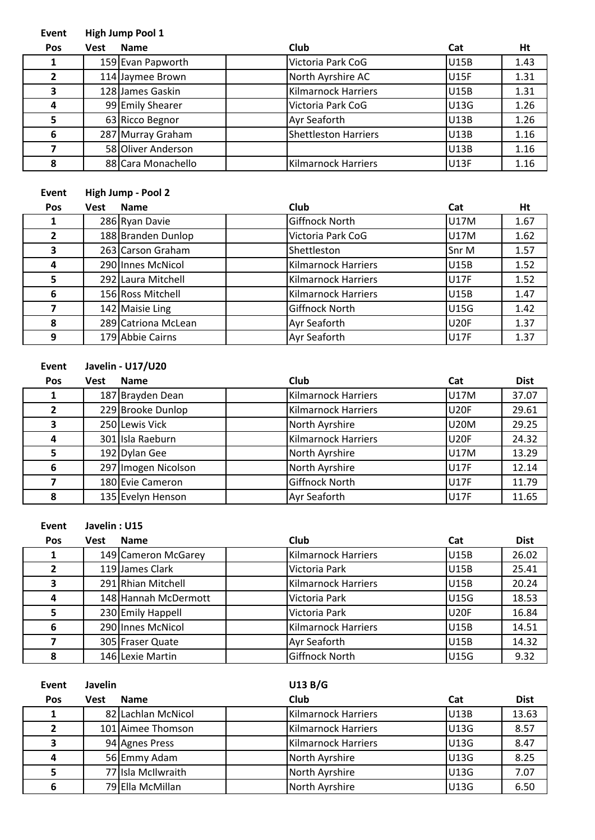## **Event High Jump Pool 1**

| Pos | <b>Vest</b> | <b>Name</b>        | Club                        | Cat         | Ht   |
|-----|-------------|--------------------|-----------------------------|-------------|------|
|     |             | 159 Evan Papworth  | Victoria Park CoG           | <b>U15B</b> | 1.43 |
|     |             | 114 Jaymee Brown   | North Ayrshire AC           | <b>U15F</b> | 1.31 |
| ,   |             | 128 James Gaskin   | Kilmarnock Harriers         | <b>U15B</b> | 1.31 |
| 4   |             | 99 Emily Shearer   | Victoria Park CoG           | U13G        | 1.26 |
|     |             | 63 Ricco Begnor    | <b>Ayr Seaforth</b>         | U13B        | 1.26 |
| 6   |             | 287 Murray Graham  | <b>Shettleston Harriers</b> | U13B        | 1.16 |
|     |             | 58 Oliver Anderson |                             | <b>U13B</b> | 1.16 |
| 8   |             | 88 Cara Monachello | <b>Kilmarnock Harriers</b>  | <b>U13F</b> | 1.16 |

## **Event High Jump - Pool 2**

| Pos | <b>Vest</b> | <b>Name</b>         | Club                       | Cat         | Ht   |
|-----|-------------|---------------------|----------------------------|-------------|------|
|     |             | 286 Ryan Davie      | Giffnock North             | U17M        | 1.67 |
|     |             | 188 Branden Dunlop  | Victoria Park CoG          | U17M        | 1.62 |
| 3   |             | 263 Carson Graham   | Shettleston                | Snr M       | 1.57 |
| 4   |             | 290 Innes McNicol   | <b>Kilmarnock Harriers</b> | <b>U15B</b> | 1.52 |
| 5   |             | 292 Laura Mitchell  | <b>Kilmarnock Harriers</b> | <b>U17F</b> | 1.52 |
| 6   |             | 156 Ross Mitchell   | <b>Kilmarnock Harriers</b> | <b>U15B</b> | 1.47 |
|     |             | 142 Maisie Ling     | Giffnock North             | <b>U15G</b> | 1.42 |
| 8   |             | 289 Catriona McLean | <b>Ayr Seaforth</b>        | <b>U20F</b> | 1.37 |
| 9   |             | 179 Abbie Cairns    | <b>Ayr Seaforth</b>        | <b>U17F</b> | 1.37 |

**Event Javelin - U17/U20**

| <b>Pos</b> | Vest | <b>Name</b>         | Club                | Cat         | <b>Dist</b> |
|------------|------|---------------------|---------------------|-------------|-------------|
|            |      | 187 Brayden Dean    | Kilmarnock Harriers | <b>U17M</b> | 37.07       |
|            |      | 229 Brooke Dunlop   | Kilmarnock Harriers | <b>U20F</b> | 29.61       |
| 3          |      | 250 Lewis Vick      | North Ayrshire      | <b>U20M</b> | 29.25       |
| 4          |      | 301 Isla Raeburn    | Kilmarnock Harriers | <b>U20F</b> | 24.32       |
|            |      | 192 Dylan Gee       | North Ayrshire      | U17M        | 13.29       |
| 6          |      | 297 Imogen Nicolson | North Ayrshire      | <b>U17F</b> | 12.14       |
|            |      | 180 Evie Cameron    | Giffnock North      | <b>U17F</b> | 11.79       |
| 8          |      | 135 Evelyn Henson   | Ayr Seaforth        | <b>U17F</b> | 11.65       |

**Event Javelin : U15**

| <b>Pos</b> | Vest | <b>Name</b>          | Club                | Cat         | <b>Dist</b> |
|------------|------|----------------------|---------------------|-------------|-------------|
|            |      | 149 Cameron McGarey  | Kilmarnock Harriers | <b>U15B</b> | 26.02       |
|            |      | 119 James Clark      | Victoria Park       | <b>U15B</b> | 25.41       |
|            |      | 291 Rhian Mitchell   | Kilmarnock Harriers | <b>U15B</b> | 20.24       |
| 4          |      | 148 Hannah McDermott | Victoria Park       | <b>U15G</b> | 18.53       |
|            |      | 230 Emily Happell    | Victoria Park       | <b>U20F</b> | 16.84       |
| 6          |      | 290 Innes McNicol    | Kilmarnock Harriers | <b>U15B</b> | 14.51       |
|            |      | 305 Fraser Quate     | <b>Ayr Seaforth</b> | <b>U15B</b> | 14.32       |
| 8          |      | 146 Lexie Martin     | Giffnock North      | <b>U15G</b> | 9.32        |

| Event | <b>Javelin</b> |                    | U13 B/G             |             |             |
|-------|----------------|--------------------|---------------------|-------------|-------------|
| Pos   | Vest           | <b>Name</b>        | Club                | Cat         | <b>Dist</b> |
|       |                | 82 Lachlan McNicol | Kilmarnock Harriers | <b>U13B</b> | 13.63       |
| 2     |                | 101 Aimee Thomson  | Kilmarnock Harriers | <b>U13G</b> | 8.57        |
| 3     |                | 94 Agnes Press     | Kilmarnock Harriers | U13G        | 8.47        |
| 4     |                | 56 Emmy Adam       | North Ayrshire      | <b>U13G</b> | 8.25        |
| 5     |                | 77 Isla McIlwraith | North Ayrshire      | U13G        | 7.07        |
| 6     |                | 79 Ella McMillan   | North Ayrshire      | U13G        | 6.50        |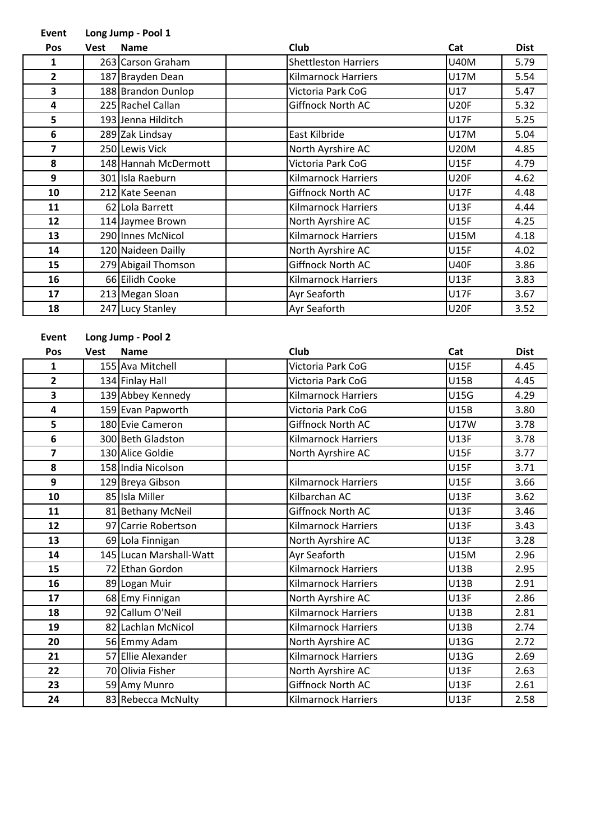## **Event Long Jump - Pool 1**

| Pos | <b>Vest</b> | <b>Name</b>          | Club                        | Cat         | <b>Dist</b> |
|-----|-------------|----------------------|-----------------------------|-------------|-------------|
| 1   |             | 263 Carson Graham    | <b>Shettleston Harriers</b> | <b>U40M</b> | 5.79        |
| 2   |             | 187 Brayden Dean     | <b>Kilmarnock Harriers</b>  | U17M        | 5.54        |
| 3   |             | 188 Brandon Dunlop   | Victoria Park CoG           | U17         | 5.47        |
| 4   |             | 225 Rachel Callan    | Giffnock North AC           | <b>U20F</b> | 5.32        |
| 5   |             | 193 Jenna Hilditch   |                             | U17F        | 5.25        |
| 6   |             | 289 Zak Lindsay      | East Kilbride               | U17M        | 5.04        |
| 7   |             | 250 Lewis Vick       | North Ayrshire AC           | <b>U20M</b> | 4.85        |
| 8   |             | 148 Hannah McDermott | Victoria Park CoG           | <b>U15F</b> | 4.79        |
| 9   |             | 301 Isla Raeburn     | <b>Kilmarnock Harriers</b>  | <b>U20F</b> | 4.62        |
| 10  |             | 212 Kate Seenan      | Giffnock North AC           | U17F        | 4.48        |
| 11  |             | 62 Lola Barrett      | <b>Kilmarnock Harriers</b>  | U13F        | 4.44        |
| 12  |             | 114 Jaymee Brown     | North Ayrshire AC           | <b>U15F</b> | 4.25        |
| 13  |             | 290 Innes McNicol    | <b>Kilmarnock Harriers</b>  | U15M        | 4.18        |
| 14  |             | 120 Naideen Dailly   | North Ayrshire AC           | <b>U15F</b> | 4.02        |
| 15  |             | 279 Abigail Thomson  | Giffnock North AC           | <b>U40F</b> | 3.86        |
| 16  |             | 66 Eilidh Cooke      | <b>Kilmarnock Harriers</b>  | U13F        | 3.83        |
| 17  |             | 213 Megan Sloan      | Ayr Seaforth                | <b>U17F</b> | 3.67        |
| 18  |             | 247 Lucy Stanley     | Ayr Seaforth                | <b>U20F</b> | 3.52        |

| <b>Event</b>            | Long Jump - Pool 2 |                         |                            |             |             |  |
|-------------------------|--------------------|-------------------------|----------------------------|-------------|-------------|--|
| Pos                     | <b>Vest</b>        | <b>Name</b>             | <b>Club</b>                | Cat         | <b>Dist</b> |  |
| $\mathbf{1}$            |                    | 155 Ava Mitchell        | Victoria Park CoG          | <b>U15F</b> | 4.45        |  |
| $\overline{2}$          |                    | 134 Finlay Hall         | Victoria Park CoG          | <b>U15B</b> | 4.45        |  |
| 3                       |                    | 139 Abbey Kennedy       | <b>Kilmarnock Harriers</b> | <b>U15G</b> | 4.29        |  |
| 4                       |                    | 159 Evan Papworth       | Victoria Park CoG          | <b>U15B</b> | 3.80        |  |
| 5                       |                    | 180 Evie Cameron        | Giffnock North AC          | <b>U17W</b> | 3.78        |  |
| 6                       |                    | 300 Beth Gladston       | <b>Kilmarnock Harriers</b> | <b>U13F</b> | 3.78        |  |
| $\overline{\mathbf{z}}$ |                    | 130 Alice Goldie        | North Ayrshire AC          | <b>U15F</b> | 3.77        |  |
| 8                       |                    | 158 India Nicolson      |                            | <b>U15F</b> | 3.71        |  |
| $\overline{9}$          |                    | 129 Breya Gibson        | <b>Kilmarnock Harriers</b> | <b>U15F</b> | 3.66        |  |
| 10                      |                    | 85 Isla Miller          | Kilbarchan AC              | <b>U13F</b> | 3.62        |  |
| 11                      |                    | 81 Bethany McNeil       | Giffnock North AC          | <b>U13F</b> | 3.46        |  |
| 12                      |                    | 97 Carrie Robertson     | <b>Kilmarnock Harriers</b> | <b>U13F</b> | 3.43        |  |
| 13                      |                    | 69 Lola Finnigan        | North Ayrshire AC          | <b>U13F</b> | 3.28        |  |
| 14                      |                    | 145 Lucan Marshall-Watt | Ayr Seaforth               | <b>U15M</b> | 2.96        |  |
| 15                      |                    | 72 Ethan Gordon         | <b>Kilmarnock Harriers</b> | <b>U13B</b> | 2.95        |  |
| 16                      |                    | 89 Logan Muir           | <b>Kilmarnock Harriers</b> | <b>U13B</b> | 2.91        |  |
| 17                      |                    | 68 Emy Finnigan         | North Ayrshire AC          | <b>U13F</b> | 2.86        |  |
| 18                      |                    | 92 Callum O'Neil        | <b>Kilmarnock Harriers</b> | <b>U13B</b> | 2.81        |  |
| 19                      |                    | 82 Lachlan McNicol      | <b>Kilmarnock Harriers</b> | <b>U13B</b> | 2.74        |  |
| 20                      |                    | 56 Emmy Adam            | North Ayrshire AC          | U13G        | 2.72        |  |
| 21                      |                    | 57 Ellie Alexander      | <b>Kilmarnock Harriers</b> | U13G        | 2.69        |  |
| 22                      |                    | 70 Olivia Fisher        | North Ayrshire AC          | U13F        | 2.63        |  |
| 23                      |                    | 59 Amy Munro            | Giffnock North AC          | <b>U13F</b> | 2.61        |  |
| 24                      |                    | 83 Rebecca McNulty      | <b>Kilmarnock Harriers</b> | U13F        | 2.58        |  |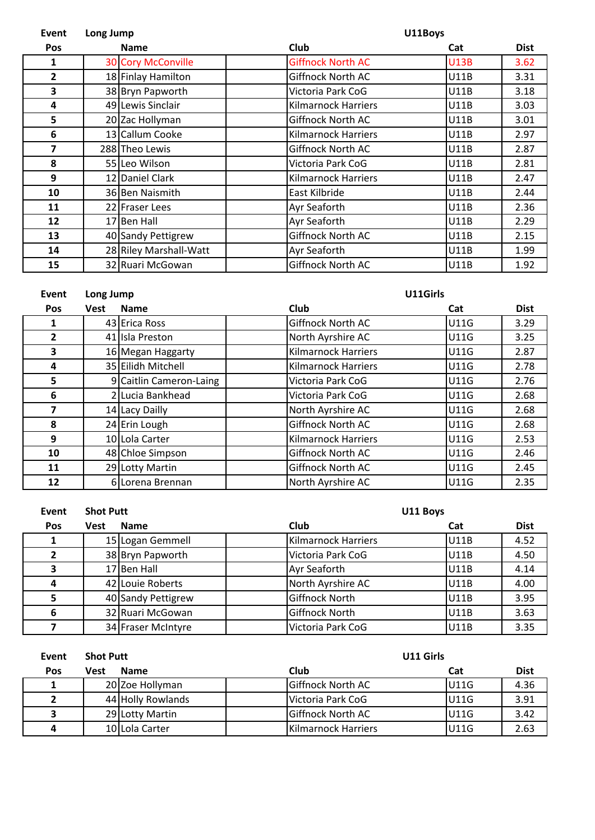| Event        | Long Jump   |                           |                            | U11Boys     |             |  |  |
|--------------|-------------|---------------------------|----------------------------|-------------|-------------|--|--|
| <b>Pos</b>   | <b>Name</b> |                           | Club                       | Cat         | <b>Dist</b> |  |  |
| 1            |             | <b>30 Cory McConville</b> | <b>Giffnock North AC</b>   | <b>U13B</b> | 3.62        |  |  |
| $\mathbf{2}$ |             | 18 Finlay Hamilton        | <b>Giffnock North AC</b>   | <b>U11B</b> | 3.31        |  |  |
| 3            |             | 38 Bryn Papworth          | Victoria Park CoG          | U11B        | 3.18        |  |  |
| 4            |             | 49 Lewis Sinclair         | Kilmarnock Harriers        | U11B        | 3.03        |  |  |
| 5            |             | 20 Zac Hollyman           | <b>Giffnock North AC</b>   | U11B        | 3.01        |  |  |
| 6            |             | 13 Callum Cooke           | <b>Kilmarnock Harriers</b> | U11B        | 2.97        |  |  |
| 7            |             | 288 Theo Lewis            | Giffnock North AC          | <b>U11B</b> | 2.87        |  |  |
| 8            |             | 55 Leo Wilson             | Victoria Park CoG          | <b>U11B</b> | 2.81        |  |  |
| 9            |             | 12 Daniel Clark           | <b>Kilmarnock Harriers</b> | <b>U11B</b> | 2.47        |  |  |
| 10           |             | 36 Ben Naismith           | East Kilbride              | U11B        | 2.44        |  |  |
| 11           |             | 22 Fraser Lees            | Ayr Seaforth               | U11B        | 2.36        |  |  |
| 12           |             | 17 Ben Hall               | Ayr Seaforth               | <b>U11B</b> | 2.29        |  |  |
| 13           |             | 40 Sandy Pettigrew        | Giffnock North AC          | <b>U11B</b> | 2.15        |  |  |
| 14           |             | 28 Riley Marshall-Watt    | Ayr Seaforth               | U11B        | 1.99        |  |  |
| 15           |             | 32 Ruari McGowan          | <b>Giffnock North AC</b>   | <b>U11B</b> | 1.92        |  |  |

| Event      | Long Jump   |                         |                            | U11Girls    |             |  |  |
|------------|-------------|-------------------------|----------------------------|-------------|-------------|--|--|
| <b>Pos</b> | <b>Vest</b> | <b>Name</b>             | Club                       | Cat         | <b>Dist</b> |  |  |
| 1          |             | 43 Erica Ross           | <b>Giffnock North AC</b>   | <b>U11G</b> | 3.29        |  |  |
| 2          |             | 41 Isla Preston         | North Ayrshire AC          | <b>U11G</b> | 3.25        |  |  |
| 3          |             | 16 Megan Haggarty       | <b>Kilmarnock Harriers</b> | U11G        | 2.87        |  |  |
| 4          |             | 35 Eilidh Mitchell      | <b>Kilmarnock Harriers</b> | U11G        | 2.78        |  |  |
| 5          |             | 9 Caitlin Cameron-Laing | Victoria Park CoG          | <b>U11G</b> | 2.76        |  |  |
| 6          |             | 2 Lucia Bankhead        | Victoria Park CoG          | <b>U11G</b> | 2.68        |  |  |
| 7          |             | 14 Lacy Dailly          | North Ayrshire AC          | <b>U11G</b> | 2.68        |  |  |
| 8          |             | 24 Erin Lough           | <b>Giffnock North AC</b>   | <b>U11G</b> | 2.68        |  |  |
| 9          |             | 10 Lola Carter          | <b>Kilmarnock Harriers</b> | U11G        | 2.53        |  |  |
| 10         |             | 48 Chloe Simpson        | <b>Giffnock North AC</b>   | U11G        | 2.46        |  |  |
| 11         |             | 29 Lotty Martin         | <b>Giffnock North AC</b>   | U11G        | 2.45        |  |  |
| 12         |             | 6 Lorena Brennan        | North Ayrshire AC          | <b>U11G</b> | 2.35        |  |  |

| Event | <b>Shot Putt</b> |                    |                            | U11 Boys    |             |  |  |
|-------|------------------|--------------------|----------------------------|-------------|-------------|--|--|
| Pos   | Vest             | <b>Name</b>        | Club                       | Cat         | <b>Dist</b> |  |  |
|       |                  | 15 Logan Gemmell   | <b>Kilmarnock Harriers</b> | U11B        | 4.52        |  |  |
| 2     |                  | 38 Bryn Papworth   | Victoria Park CoG          | <b>U11B</b> | 4.50        |  |  |
| 3     |                  | 17 Ben Hall        | <b>Ayr Seaforth</b>        | <b>U11B</b> | 4.14        |  |  |
| 4     |                  | 42 Louie Roberts   | North Ayrshire AC          | U11B        | 4.00        |  |  |
| 5     |                  | 40 Sandy Pettigrew | Giffnock North             | <b>U11B</b> | 3.95        |  |  |
| 6     |                  | 32 Ruari McGowan   | <b>Giffnock North</b>      | <b>U11B</b> | 3.63        |  |  |
|       |                  | 34 Fraser McIntyre | Victoria Park CoG          | U11B        | 3.35        |  |  |

| Event      | <b>Shot Putt</b> |                   |                          | <b>U11 Girls</b> |             |  |  |
|------------|------------------|-------------------|--------------------------|------------------|-------------|--|--|
| <b>Pos</b> | Vest             | <b>Name</b>       | Club                     | Cat              | <b>Dist</b> |  |  |
|            |                  | 20 Zoe Hollyman   | <b>Giffnock North AC</b> | U11G             | 4.36        |  |  |
|            |                  | 44 Holly Rowlands | Victoria Park CoG        | <b>U11G</b>      | 3.91        |  |  |
| 3          |                  | 29 Lotty Martin   | <b>Giffnock North AC</b> | <b>U11G</b>      | 3.42        |  |  |
| 4          |                  | 10 Lola Carter    | Kilmarnock Harriers      | <b>U11G</b>      | 2.63        |  |  |